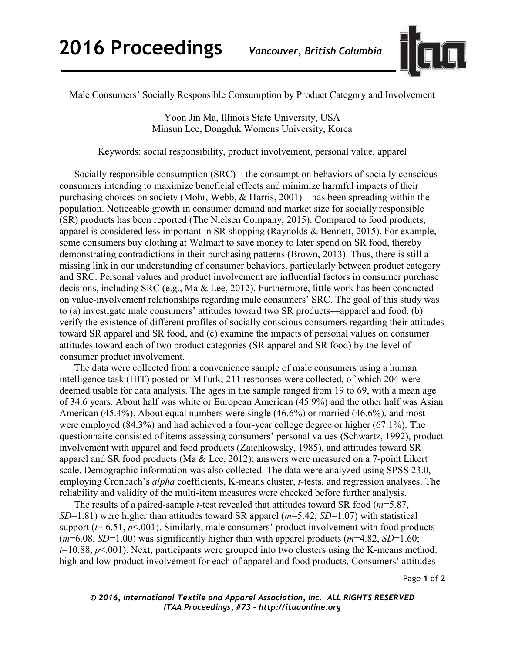

Male Consumers' Socially Responsible Consumption by Product Category and Involvement

Yoon Jin Ma, Illinois State University, USA Minsun Lee, Dongduk Womens University, Korea

Keywords: social responsibility, product involvement, personal value, apparel

Socially responsible consumption (SRC)—the consumption behaviors of socially conscious consumers intending to maximize beneficial effects and minimize harmful impacts of their purchasing choices on society (Mohr, Webb, & Harris, 2001)—has been spreading within the population. Noticeable growth in consumer demand and market size for socially responsible (SR) products has been reported (The Nielsen Company, 2015). Compared to food products, apparel is considered less important in SR shopping (Raynolds & Bennett, 2015). For example, some consumers buy clothing at Walmart to save money to later spend on SR food, thereby demonstrating contradictions in their purchasing patterns (Brown, 2013). Thus, there is still a missing link in our understanding of consumer behaviors, particularly between product category and SRC. Personal values and product involvement are influential factors in consumer purchase decisions, including SRC (e.g., Ma & Lee, 2012). Furthermore, little work has been conducted on value-involvement relationships regarding male consumers' SRC. The goal of this study was to (a) investigate male consumers' attitudes toward two SR products—apparel and food, (b) verify the existence of different profiles of socially conscious consumers regarding their attitudes toward SR apparel and SR food, and (c) examine the impacts of personal values on consumer attitudes toward each of two product categories (SR apparel and SR food) by the level of consumer product involvement.

The data were collected from a convenience sample of male consumers using a human intelligence task (HIT) posted on MTurk; 211 responses were collected, of which 204 were deemed usable for data analysis. The ages in the sample ranged from 19 to 69, with a mean age of 34.6 years. About half was white or European American (45.9%) and the other half was Asian American (45.4%). About equal numbers were single (46.6%) or married (46.6%), and most were employed (84.3%) and had achieved a four-year college degree or higher (67.1%). The questionnaire consisted of items assessing consumers' personal values (Schwartz, 1992), product involvement with apparel and food products (Zaichkowsky, 1985), and attitudes toward SR apparel and SR food products (Ma & Lee, 2012); answers were measured on a 7-point Likert scale. Demographic information was also collected. The data were analyzed using SPSS 23.0, employing Cronbach's *alpha* coefficients, K-means cluster, *t*-tests, and regression analyses. The reliability and validity of the multi-item measures were checked before further analysis.

The results of a paired-sample *t*-test revealed that attitudes toward SR food (*m*=5.87, *SD*=1.81) were higher than attitudes toward SR apparel (*m*=5.42, *SD*=1.07) with statistical support  $(t= 6.51, p<0.01)$ . Similarly, male consumers' product involvement with food products (*m*=6.08, *SD*=1.00) was significantly higher than with apparel products (*m*=4.82, *SD*=1.60; *t*=10.88, *p*<.001). Next, participants were grouped into two clusters using the K-means method: high and low product involvement for each of apparel and food products. Consumers' attitudes

Page **1** of **2** 

*© 2016, International Textile and Apparel Association, Inc. ALL RIGHTS RESERVED ITAA Proceedings, #73 – http://itaaonline.org*